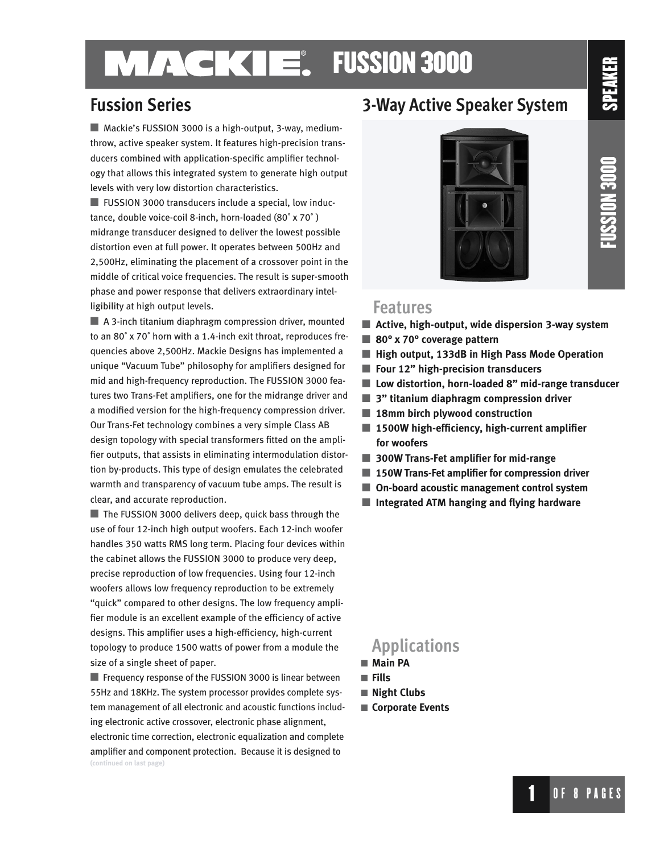### **MACKIE.** FUSSION 3000

■ Mackie's FUSSION 3000 is a high-output, 3-way, mediumthrow, active speaker system. It features high-precision transducers combined with application-specific amplifier technology that allows this integrated system to generate high output levels with very low distortion characteristics.

■ FUSSION 3000 transducers include a special, low inductance, double voice-coil 8-inch, horn-loaded (80˚ x 70˚ ) midrange transducer designed to deliver the lowest possible distortion even at full power. It operates between 500Hz and 2,500Hz, eliminating the placement of a crossover point in the middle of critical voice frequencies. The result is super-smooth phase and power response that delivers extraordinary intelligibility at high output levels.

■ A 3-inch titanium diaphragm compression driver, mounted to an 80˚ x 70˚ horn with a 1.4-inch exit throat, reproduces frequencies above 2,500Hz. Mackie Designs has implemented a unique "Vacuum Tube" philosophy for amplifiers designed for mid and high-frequency reproduction. The FUSSION 3000 features two Trans-Fet amplifiers, one for the midrange driver and a modified version for the high-frequency compression driver. Our Trans-Fet technology combines a very simple Class AB design topology with special transformers fitted on the amplifier outputs, that assists in eliminating intermodulation distortion by-products. This type of design emulates the celebrated warmth and transparency of vacuum tube amps. The result is clear, and accurate reproduction.

■ The FUSSION 3000 delivers deep, quick bass through the use of four 12-inch high output woofers. Each 12-inch woofer handles 350 watts RMS long term. Placing four devices within the cabinet allows the FUSSION 3000 to produce very deep, precise reproduction of low frequencies. Using four 12-inch woofers allows low frequency reproduction to be extremely "quick" compared to other designs. The low frequency amplifier module is an excellent example of the efficiency of active designs. This amplifier uses a high-efficiency, high-current topology to produce 1500 watts of power from a module the size of a single sheet of paper.

■ Frequency response of the FUSSION 3000 is linear between 55Hz and 18KHz. The system processor provides complete system management of all electronic and acoustic functions including electronic active crossover, electronic phase alignment, electronic time correction, electronic equalization and complete amplifier and component protection. Because it is designed to **(continued on last page)**

### **Fussion Series 3-Way Active Speaker System**



**FUSSION 3000** FUSSION 3000

SPEAKER

#### **Features**

- Active, high-output, wide dispersion 3-way system
- ■ **80° x 70° coverage pattern**
- High output, 133dB in High Pass Mode Operation
- **Four 12**" high-precision transducers
- Low distortion, horn-loaded 8" mid-range transducer
- 3" titanium diaphragm compression driver
- 18mm birch plywood construction
- 1500W high-efficiency, high-current amplifier  **for woofers**
- 300W Trans-Fet amplifier for mid-range
- 150W Trans-Fet amplifier for compression driver
- On-board acoustic management control system
- **Integrated ATM hanging and flying hardware**

### **Applications**

- **Main PA**
- **Fills**
- **Night Clubs**
- **Corporate Events**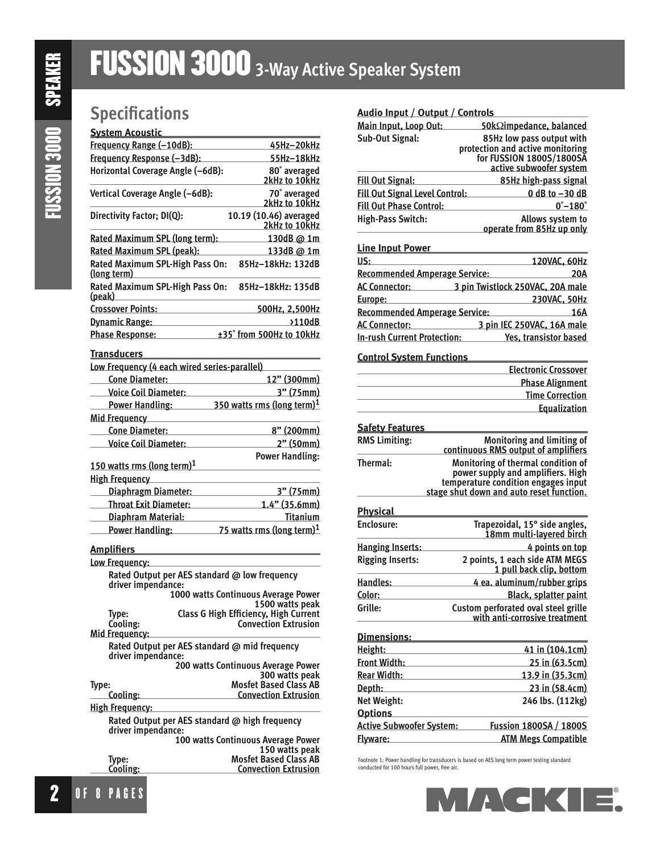## **Specifications**

#### **System Acoustic**

| Frequency Range (-10dB):                              | 45Hz-20kHz                              |
|-------------------------------------------------------|-----------------------------------------|
| Frequency Response (-3dB):                            | 55Hz-18kHz                              |
| Horizontal Coverage Angle (-6dB):                     | 80° averaged<br>2kHz to 10kHz           |
| Vertical Coverage Angle (-6dB):                       | 70° averaged<br>2kHz to 10kHz           |
| Directivity Factor; DI(Q):                            | 10.19 (10.46) averaged<br>2kHz to 10kHz |
| Rated Maximum SPL (long term):                        | <u>130dB @ 1m</u>                       |
| Rated Maximum SPL (peak):                             | 133dB @ 1m                              |
| Rated Maximum SPL-High Pass On:<br><u>(long term)</u> | 85Hz-18kHz: 132dB                       |
| Rated Maximum SPL-High Pass On:<br>(peak)             | 85Hz-18kHz: 135dB                       |
| <b>Crossover Points:</b>                              | 500Hz, 2,500Hz                          |
| <b>Dynamic Range:</b>                                 | >110dB                                  |
| <b>Phase Response:</b>                                | ±35° from 500Hz to 10kHz                |
| <b>Transducers</b>                                    |                                         |

| Low Frequency (4 each wired series-parallel) |                                        |  |
|----------------------------------------------|----------------------------------------|--|
| <b>Cone Diameter:</b>                        | 12" (300mm)                            |  |
| <b>Voice Coil Diameter:</b>                  | 3" (75mm)                              |  |
| Power Handling:                              | 350 watts rms (long term) <sup>1</sup> |  |
| <b>Mid Frequency</b>                         |                                        |  |
| <b>Cone Diameter:</b>                        | 8" (200mm)                             |  |
| <b>Voice Coil Diameter:</b>                  | 2" (50mm)                              |  |
| 150 watts rms (long term) $1$                | <b>Power Handling:</b>                 |  |
| <b>High Frequency</b>                        |                                        |  |
| Diaphragm Diameter:                          | 3" (75mm)                              |  |
| <b>Throat Exit Diameter:</b>                 | $1.4"$ (35.6mm)                        |  |
| Diaphram Material:                           | Titanium                               |  |
| Power Handling:                              | 75 watts rms (long term) <sup>1</sup>  |  |

#### **Amplifiers**

| Low Frequency:                                                       |                                                                             |  |
|----------------------------------------------------------------------|-----------------------------------------------------------------------------|--|
| Rated Output per AES standard @ low frequency<br>driver impendance:  |                                                                             |  |
|                                                                      | 1000 watts Continuous Average Power<br>1500 watts peak                      |  |
| Type:<br>Cooling:<br>Mid Frequency:                                  | <b>Class G High Efficiency, High Current</b><br><b>Convection Extrusion</b> |  |
| Rated Output per AES standard @ mid frequency<br>driver impendance:  |                                                                             |  |
|                                                                      | 200 watts Continuous Average Power<br>300 watts peak                        |  |
| Type:                                                                | <b>Mosfet Based Class AB</b>                                                |  |
| Cooling:                                                             | <b>Convection Extrusion</b>                                                 |  |
| <b>High Frequency:</b>                                               |                                                                             |  |
| Rated Output per AES standard @ high frequency<br>driver impendance: |                                                                             |  |
|                                                                      | 100 watts Continuous Average Power<br>150 watts peak                        |  |
| Type:                                                                | <b>Mosfet Based Class AB</b>                                                |  |
| Cooling:                                                             | <b>Convection Extrusion</b>                                                 |  |

#### **Audio Input / Output / Controls Main Input, Loop Out: 50k**Ω**impedance, balanced Sub-Out Signal: 85Hz low pass output with**  *protection and active monitoring*  **for FUSSION 1800S/1800SA active subwoofer system Fill Out Signal: 85Hz high-pass signal Fill Out Signal Level Control: 0 dB to –30 dB Fill Out Phase Control: 0˚–180˚ High-Pass Switch: Allows system to operate from 85Hz up only Line Input Power US: 120VAC, 60Hz Recommended Amperage Service: 20A AC Connector: 3 pin Twistlock 250VAC, 20A male Europe: 230VAC, 50Hz Recommended Amperage Service: 16A AC Connector: 3 pin IEC 250VAC, 16A male In-rush Current Protection: Yes, transistor based Control System Functions Electronic Crossover Phase Alignment Time Correction Equalization Safety Features RMS Limiting: Monitoring and limiting of continuous RMS output of amplifiers Thermal: Monitoring of thermal condition of power supply and amplifiers. High temperature condition engages input stage shut down and auto reset function. Physical Enclosure: Trapezoidal, 15° side angles, 18mm multi-layered birch Hanging Inserts: 4 points on top Rigging Inserts: 2 points, 1 each side ATM MEGS 1 pull back clip, bottom Handles: 4 ea. aluminum/rubber grips Color: Black, splatter paint Grille: Custom perforated oval steel grille with anti-corrosive treatment Dimensions: Height: 41 in (104.1cm) Front Width: 25 in (63.5cm) Rear Width: 13.9 in (35.3cm) Depth:** 23 in (58.4cm) **Net Weight: 246 lbs. (112kg) Options Active Subwoofer System: Fussion 1800SA / 1800S Flyware: ATM Megs Compatible**

Footnote 1: Power handling for transducers is based on AES long term power testing standard conducted for 100 hours full power, free air.

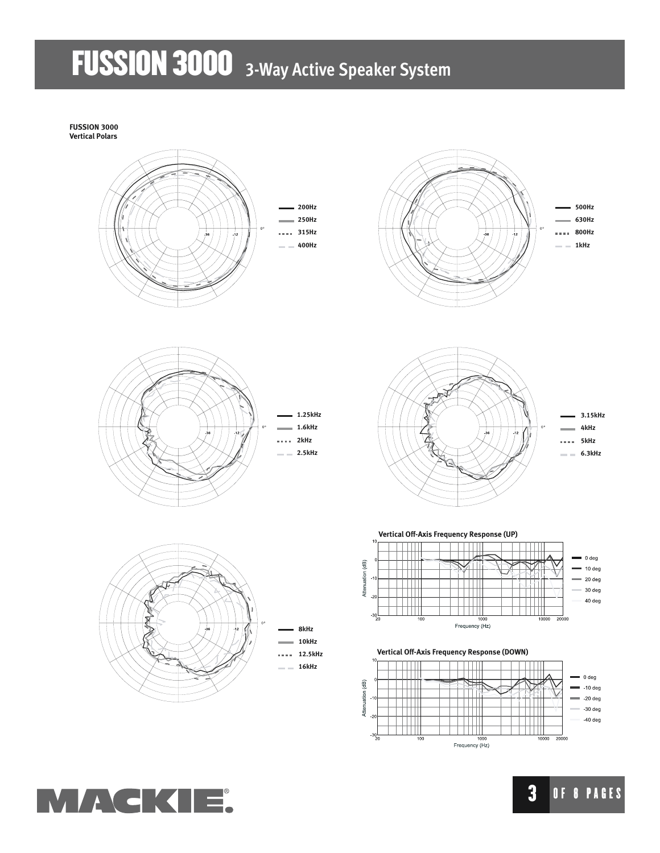**FUSSION 3000 Vertical Polars**













**8kHz 10kHz 12.5kHz**

**16kHz**



**Vertical Off-Axis Frequency Response (UP)**



**Vertical Off-Axis Frequency Response (DOWN)**





**3** OF 8 PAGES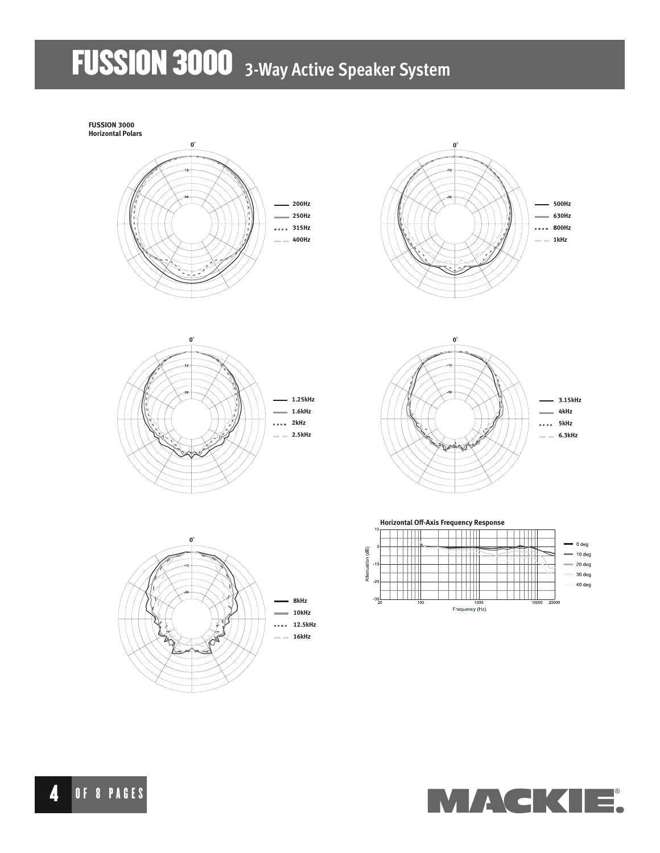**FUSSION 3000**

















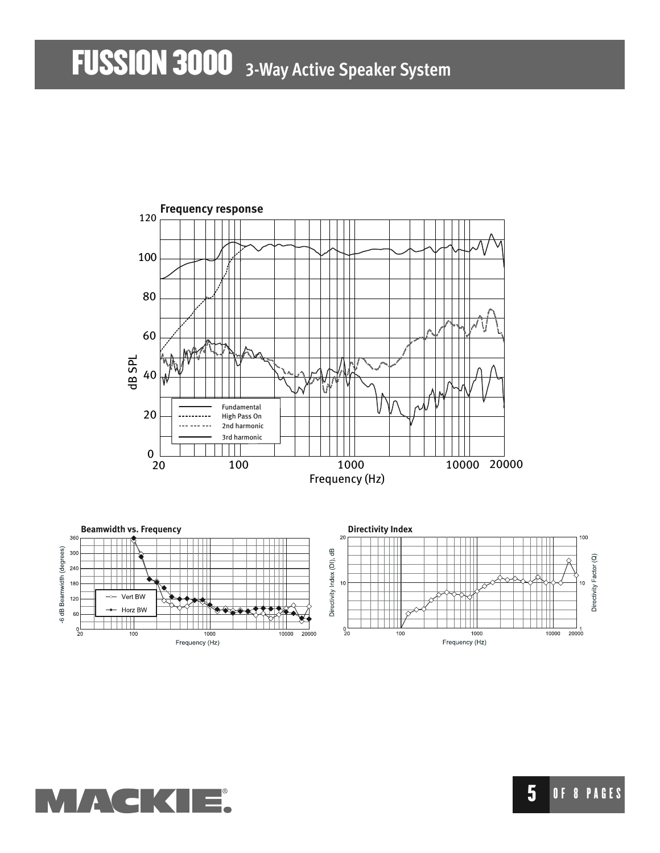

**MAGK** 

### 5 OF 8 PAGES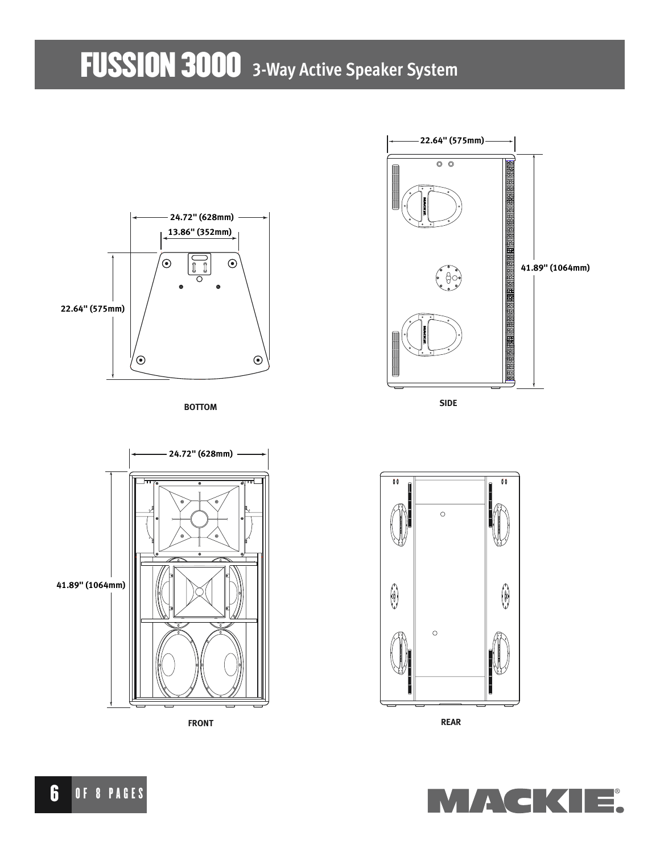

**BOTTOM**



**SIDE**







**FRONT REAR**

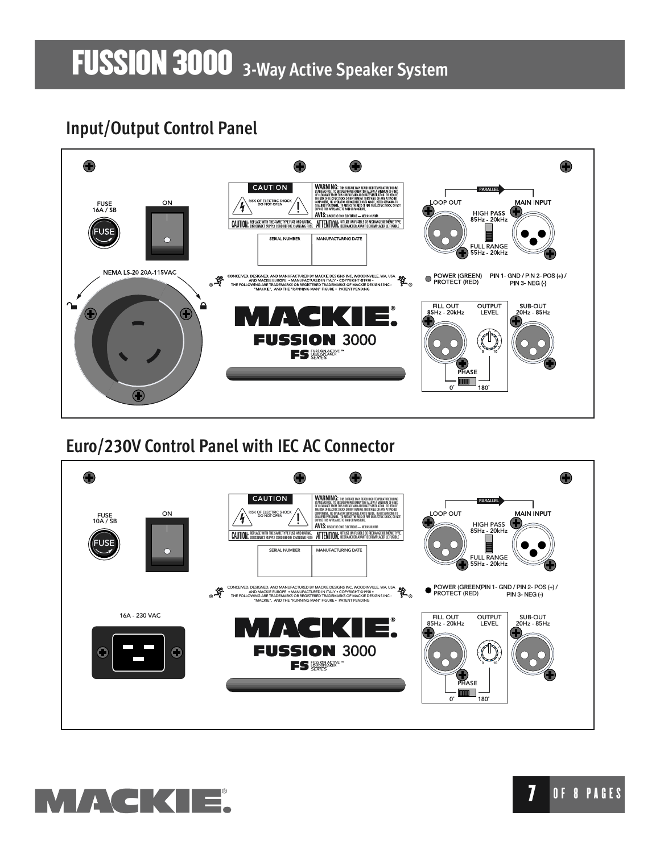## **Input/Output Control Panel**



### **Euro/230V Control Panel with IEC AC Connector**